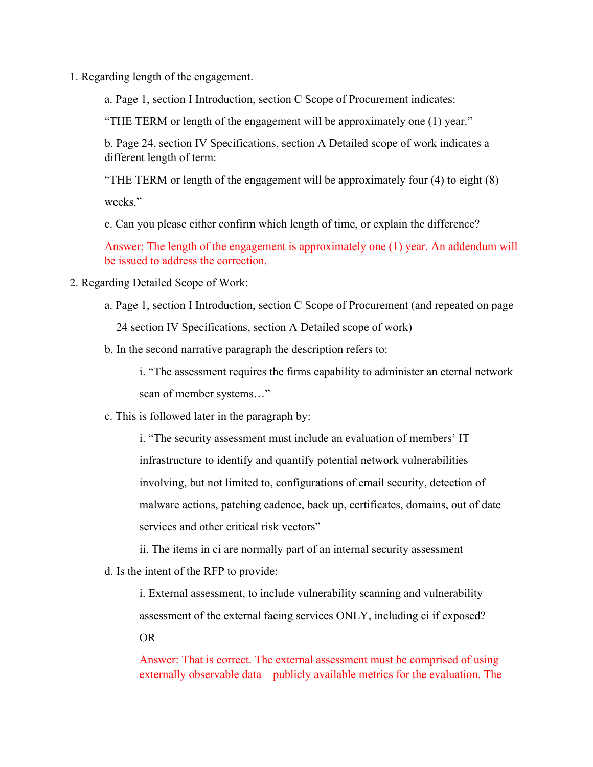1. Regarding length of the engagement.

a. Page 1, section I Introduction, section C Scope of Procurement indicates:

"THE TERM or length of the engagement will be approximately one (1) year."

b. Page 24, section IV Specifications, section A Detailed scope of work indicates a different length of term:

"THE TERM or length of the engagement will be approximately four (4) to eight (8) weeks."

c. Can you please either confirm which length of time, or explain the difference?

Answer: The length of the engagement is approximately one (1) year. An addendum will be issued to address the correction.

- 2. Regarding Detailed Scope of Work:
	- a. Page 1, section I Introduction, section C Scope of Procurement (and repeated on page 24 section IV Specifications, section A Detailed scope of work)
	- b. In the second narrative paragraph the description refers to:

i. "The assessment requires the firms capability to administer an eternal network scan of member systems…"

c. This is followed later in the paragraph by:

i. "The security assessment must include an evaluation of members' IT infrastructure to identify and quantify potential network vulnerabilities involving, but not limited to, configurations of email security, detection of malware actions, patching cadence, back up, certificates, domains, out of date services and other critical risk vectors"

ii. The items in ci are normally part of an internal security assessment

d. Is the intent of the RFP to provide:

i. External assessment, to include vulnerability scanning and vulnerability assessment of the external facing services ONLY, including ci if exposed?

OR

Answer: That is correct. The external assessment must be comprised of using externally observable data – publicly available metrics for the evaluation. The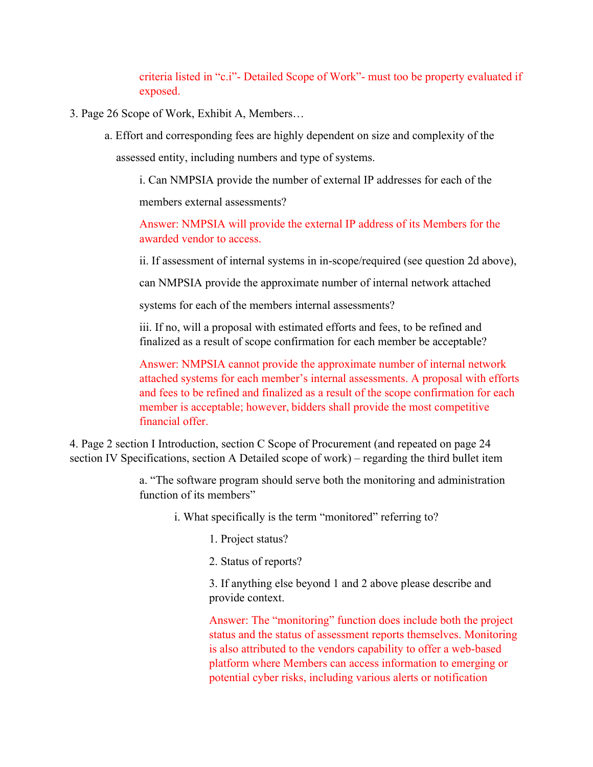criteria listed in "c.i"- Detailed Scope of Work"- must too be property evaluated if exposed.

- 3. Page 26 Scope of Work, Exhibit A, Members…
	- a. Effort and corresponding fees are highly dependent on size and complexity of the assessed entity, including numbers and type of systems.

i. Can NMPSIA provide the number of external IP addresses for each of the members external assessments?

Answer: NMPSIA will provide the external IP address of its Members for the awarded vendor to access.

ii. If assessment of internal systems in in-scope/required (see question 2d above),

can NMPSIA provide the approximate number of internal network attached

systems for each of the members internal assessments?

iii. If no, will a proposal with estimated efforts and fees, to be refined and finalized as a result of scope confirmation for each member be acceptable?

Answer: NMPSIA cannot provide the approximate number of internal network attached systems for each member's internal assessments. A proposal with efforts and fees to be refined and finalized as a result of the scope confirmation for each member is acceptable; however, bidders shall provide the most competitive financial offer.

4. Page 2 section I Introduction, section C Scope of Procurement (and repeated on page 24 section IV Specifications, section A Detailed scope of work) – regarding the third bullet item

> a. "The software program should serve both the monitoring and administration function of its members"

i. What specifically is the term "monitored" referring to?

- 1. Project status?
- 2. Status of reports?

3. If anything else beyond 1 and 2 above please describe and provide context.

Answer: The "monitoring" function does include both the project status and the status of assessment reports themselves. Monitoring is also attributed to the vendors capability to offer a web-based platform where Members can access information to emerging or potential cyber risks, including various alerts or notification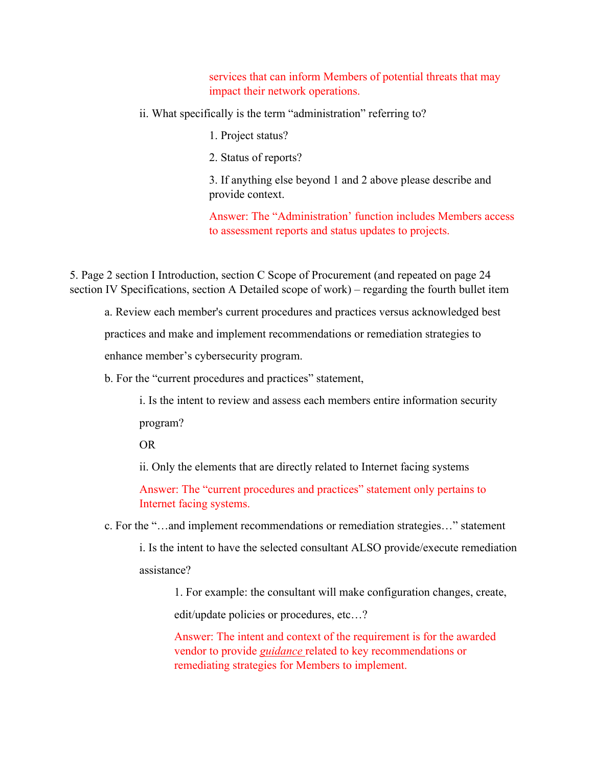services that can inform Members of potential threats that may impact their network operations.

ii. What specifically is the term "administration" referring to?

- 1. Project status?
- 2. Status of reports?

3. If anything else beyond 1 and 2 above please describe and provide context.

Answer: The "Administration' function includes Members access to assessment reports and status updates to projects.

5. Page 2 section I Introduction, section C Scope of Procurement (and repeated on page 24 section IV Specifications, section A Detailed scope of work) – regarding the fourth bullet item

a. Review each member's current procedures and practices versus acknowledged best

practices and make and implement recommendations or remediation strategies to

enhance member's cybersecurity program.

b. For the "current procedures and practices" statement,

i. Is the intent to review and assess each members entire information security program?

OR

ii. Only the elements that are directly related to Internet facing systems

Answer: The "current procedures and practices" statement only pertains to Internet facing systems.

c. For the "…and implement recommendations or remediation strategies…" statement

i. Is the intent to have the selected consultant ALSO provide/execute remediation assistance?

1. For example: the consultant will make configuration changes, create, edit/update policies or procedures, etc…?

Answer: The intent and context of the requirement is for the awarded vendor to provide *guidance* related to key recommendations or remediating strategies for Members to implement.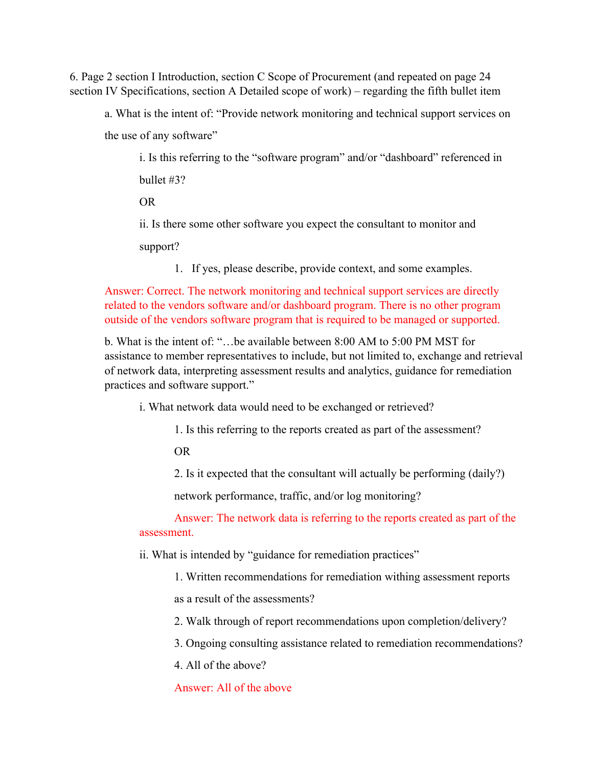6. Page 2 section I Introduction, section C Scope of Procurement (and repeated on page 24 section IV Specifications, section A Detailed scope of work) – regarding the fifth bullet item

a. What is the intent of: "Provide network monitoring and technical support services on

the use of any software"

i. Is this referring to the "software program" and/or "dashboard" referenced in bullet #3?

OR

ii. Is there some other software you expect the consultant to monitor and

support?

1. If yes, please describe, provide context, and some examples.

Answer: Correct. The network monitoring and technical support services are directly related to the vendors software and/or dashboard program. There is no other program outside of the vendors software program that is required to be managed or supported.

b. What is the intent of: "…be available between 8:00 AM to 5:00 PM MST for assistance to member representatives to include, but not limited to, exchange and retrieval of network data, interpreting assessment results and analytics, guidance for remediation practices and software support."

i. What network data would need to be exchanged or retrieved?

1. Is this referring to the reports created as part of the assessment?

OR

2. Is it expected that the consultant will actually be performing (daily?)

network performance, traffic, and/or log monitoring?

Answer: The network data is referring to the reports created as part of the assessment.

ii. What is intended by "guidance for remediation practices"

1. Written recommendations for remediation withing assessment reports

as a result of the assessments?

2. Walk through of report recommendations upon completion/delivery?

3. Ongoing consulting assistance related to remediation recommendations?

4. All of the above?

Answer: All of the above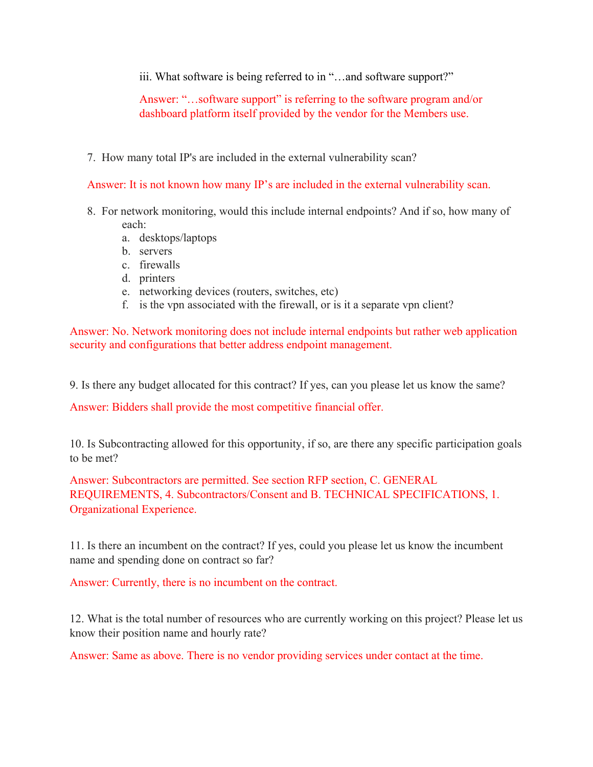iii. What software is being referred to in "…and software support?"

Answer: "…software support" is referring to the software program and/or dashboard platform itself provided by the vendor for the Members use.

7. How many total IP's are included in the external vulnerability scan?

Answer: It is not known how many IP's are included in the external vulnerability scan.

- 8. For network monitoring, would this include internal endpoints? And if so, how many of each:
	- a. desktops/laptops
	- b. servers
	- c. firewalls
	- d. printers
	- e. networking devices (routers, switches, etc)
	- f. is the vpn associated with the firewall, or is it a separate vpn client?

Answer: No. Network monitoring does not include internal endpoints but rather web application security and configurations that better address endpoint management.

9. Is there any budget allocated for this contract? If yes, can you please let us know the same?

Answer: Bidders shall provide the most competitive financial offer.

10. Is Subcontracting allowed for this opportunity, if so, are there any specific participation goals to be met?

Answer: Subcontractors are permitted. See section RFP section, C. GENERAL REQUIREMENTS, 4. Subcontractors/Consent and B. TECHNICAL SPECIFICATIONS, 1. Organizational Experience.

11. Is there an incumbent on the contract? If yes, could you please let us know the incumbent name and spending done on contract so far?

Answer: Currently, there is no incumbent on the contract.

12. What is the total number of resources who are currently working on this project? Please let us know their position name and hourly rate?

Answer: Same as above. There is no vendor providing services under contact at the time.